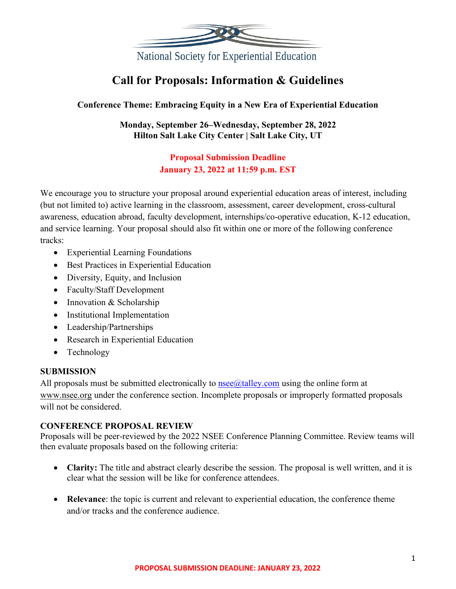

# **Call for Proposals: Information & Guidelines**

## **Conference Theme: Embracing Equity in a New Era of Experiential Education**

**Monday, September 26–Wednesday, September 28, 2022 Hilton Salt Lake City Center | Salt Lake City, UT**

## **Proposal Submission Deadline January 23, 2022 at 11:59 p.m. EST**

We encourage you to structure your proposal around experiential education areas of interest, including (but not limited to) active learning in the classroom, assessment, career development, cross-cultural awareness, education abroad, faculty development, internships/co-operative education, K-12 education, and service learning. Your proposal should also fit within one or more of the following conference tracks:

- Experiential Learning Foundations
- Best Practices in Experiential Education
- Diversity, Equity, and Inclusion
- Faculty/Staff Development
- Innovation & Scholarship
- Institutional Implementation
- Leadership/Partnerships
- Research in Experiential Education
- Technology

#### **SUBMISSION**

All proposals must be submitted electronically to  $n$ see $@$ talley.com using the online form at [www.nsee.org](http://www.nsee.org/) under the conference section. Incomplete proposals or improperly formatted proposals will not be considered.

#### **CONFERENCE PROPOSAL REVIEW**

Proposals will be peer-reviewed by the 2022 NSEE Conference Planning Committee. Review teams will then evaluate proposals based on the following criteria:

- **Clarity:** The title and abstract clearly describe the session. The proposal is well written, and it is clear what the session will be like for conference attendees.
- **Relevance**: the topic is current and relevant to experiential education, the conference theme and/or tracks and the conference audience.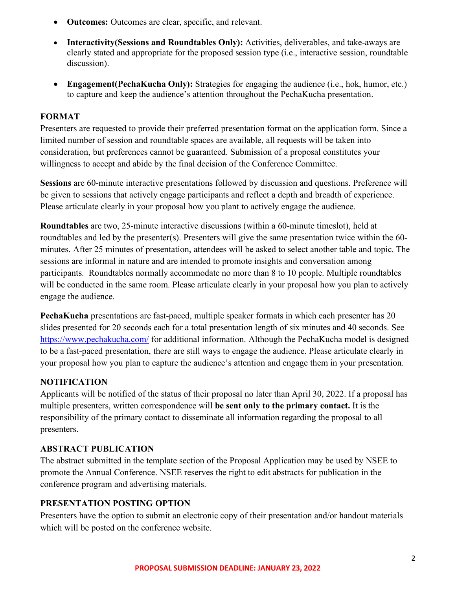- **Outcomes:** Outcomes are clear, specific, and relevant.
- **Interactivity(Sessions and Roundtables Only):** Activities, deliverables, and take-aways are clearly stated and appropriate for the proposed session type (i.e., interactive session, roundtable discussion).
- **Engagement (PechaKucha Only):** Strategies for engaging the audience (i.e., hok, humor, etc.) to capture and keep the audience's attention throughout the PechaKucha presentation.

#### **FORMAT**

Presenters are requested to provide their preferred presentation format on the application form. Since a limited number of session and roundtable spaces are available, all requests will be taken into consideration, but preferences cannot be guaranteed. Submission of a proposal constitutes your willingness to accept and abide by the final decision of the Conference Committee.

**Sessions** are 60-minute interactive presentations followed by discussion and questions. Preference will be given to sessions that actively engage participants and reflect a depth and breadth of experience. Please articulate clearly in your proposal how you plant to actively engage the audience.

**Roundtables** are two, 25-minute interactive discussions (within a 60-minute timeslot), held at roundtables and led by the presenter(s). Presenters will give the same presentation twice within the 60 minutes. After 25 minutes of presentation, attendees will be asked to select another table and topic. The sessions are informal in nature and are intended to promote insights and conversation among participants. Roundtables normally accommodate no more than 8 to 10 people. Multiple roundtables will be conducted in the same room. Please articulate clearly in your proposal how you plan to actively engage the audience.

**PechaKucha** presentations are fast-paced, multiple speaker formats in which each presenter has 20 slides presented for 20 seconds each for a total presentation length of six minutes and 40 seconds. See <https://www.pechakucha.com/> for additional information. Although the PechaKucha model is designed to be a fast-paced presentation, there are still ways to engage the audience. Please articulate clearly in your proposal how you plan to capture the audience's attention and engage them in your presentation.

#### **NOTIFICATION**

Applicants will be notified of the status of their proposal no later than April 30, 2022. If a proposal has multiple presenters, written correspondence will **be sent only to the primary contact.** It is the responsibility of the primary contact to disseminate all information regarding the proposal to all presenters.

#### **ABSTRACT PUBLICATION**

The abstract submitted in the template section of the Proposal Application may be used by NSEE to promote the Annual Conference. NSEE reserves the right to edit abstracts for publication in the conference program and advertising materials.

#### **PRESENTATION POSTING OPTION**

Presenters have the option to submit an electronic copy of their presentation and/or handout materials which will be posted on the conference website.